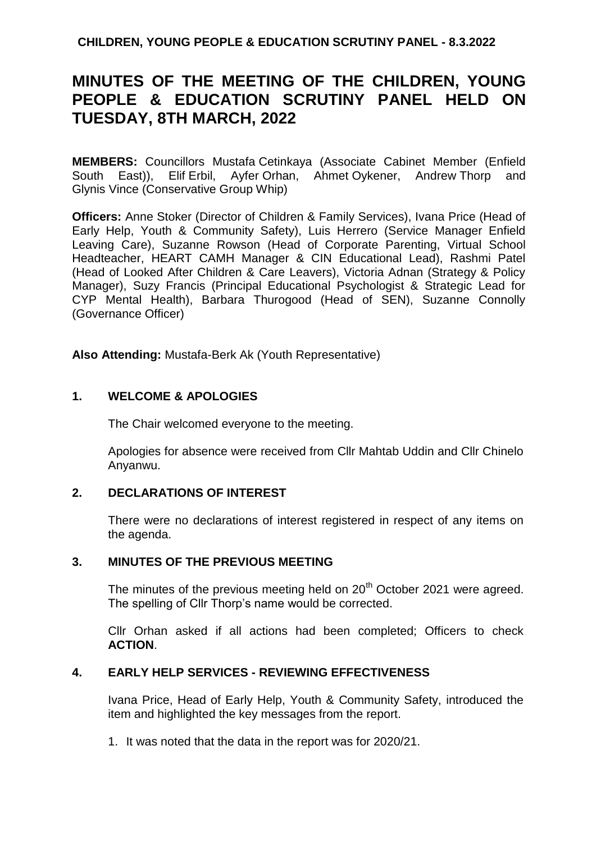**CHILDREN, YOUNG PEOPLE & EDUCATION SCRUTINY PANEL - 8.3.2022**

# **MINUTES OF THE MEETING OF THE CHILDREN, YOUNG PEOPLE & EDUCATION SCRUTINY PANEL HELD ON TUESDAY, 8TH MARCH, 2022**

**MEMBERS:** Councillors Mustafa Cetinkaya (Associate Cabinet Member (Enfield South East)), Elif Erbil, Ayfer Orhan, Ahmet Oykener, Andrew Thorp and Glynis Vince (Conservative Group Whip)

**Officers:** Anne Stoker (Director of Children & Family Services), Ivana Price (Head of Early Help, Youth & Community Safety), Luis Herrero (Service Manager Enfield Leaving Care), Suzanne Rowson (Head of Corporate Parenting, Virtual School Headteacher, HEART CAMH Manager & CIN Educational Lead), Rashmi Patel (Head of Looked After Children & Care Leavers), Victoria Adnan (Strategy & Policy Manager), Suzy Francis (Principal Educational Psychologist & Strategic Lead for CYP Mental Health), Barbara Thurogood (Head of SEN), Suzanne Connolly (Governance Officer)

**Also Attending:** Mustafa-Berk Ak (Youth Representative)

#### **1. WELCOME & APOLOGIES**

The Chair welcomed everyone to the meeting.

Apologies for absence were received from Cllr Mahtab Uddin and Cllr Chinelo Anyanwu.

#### **2. DECLARATIONS OF INTEREST**

There were no declarations of interest registered in respect of any items on the agenda.

#### **3. MINUTES OF THE PREVIOUS MEETING**

The minutes of the previous meeting held on  $20<sup>th</sup>$  October 2021 were agreed. The spelling of Cllr Thorp's name would be corrected.

Cllr Orhan asked if all actions had been completed; Officers to check **ACTION**.

#### **4. EARLY HELP SERVICES - REVIEWING EFFECTIVENESS**

Ivana Price, Head of Early Help, Youth & Community Safety, introduced the item and highlighted the key messages from the report.

1. It was noted that the data in the report was for 2020/21.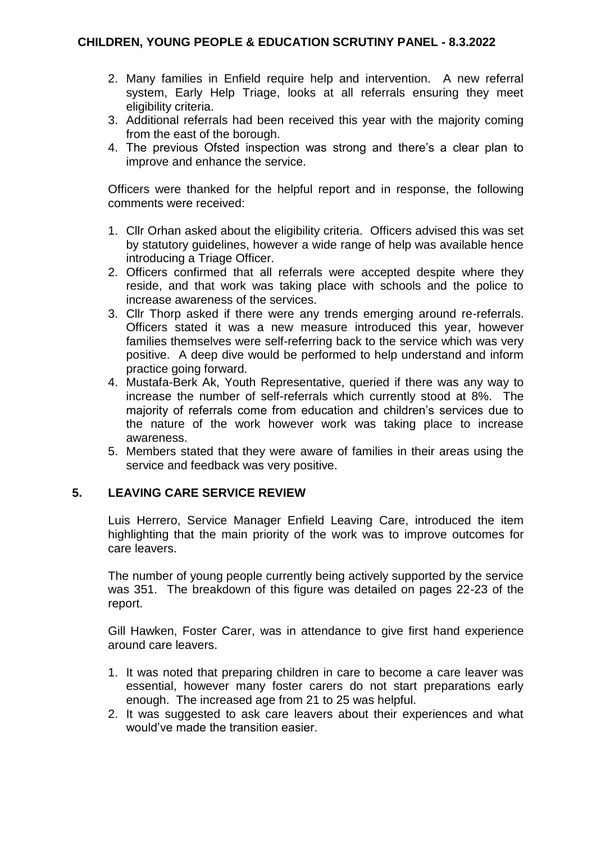- 2. Many families in Enfield require help and intervention. A new referral system, Early Help Triage, looks at all referrals ensuring they meet eligibility criteria.
- 3. Additional referrals had been received this year with the majority coming from the east of the borough.
- 4. The previous Ofsted inspection was strong and there's a clear plan to improve and enhance the service.

Officers were thanked for the helpful report and in response, the following comments were received:

- 1. Cllr Orhan asked about the eligibility criteria. Officers advised this was set by statutory guidelines, however a wide range of help was available hence introducing a Triage Officer.
- 2. Officers confirmed that all referrals were accepted despite where they reside, and that work was taking place with schools and the police to increase awareness of the services.
- 3. Cllr Thorp asked if there were any trends emerging around re-referrals. Officers stated it was a new measure introduced this year, however families themselves were self-referring back to the service which was very positive. A deep dive would be performed to help understand and inform practice going forward.
- 4. Mustafa-Berk Ak, Youth Representative, queried if there was any way to increase the number of self-referrals which currently stood at 8%. The majority of referrals come from education and children's services due to the nature of the work however work was taking place to increase awareness.
- 5. Members stated that they were aware of families in their areas using the service and feedback was very positive.

#### **5. LEAVING CARE SERVICE REVIEW**

Luis Herrero, Service Manager Enfield Leaving Care, introduced the item highlighting that the main priority of the work was to improve outcomes for care leavers.

The number of young people currently being actively supported by the service was 351. The breakdown of this figure was detailed on pages 22-23 of the report.

Gill Hawken, Foster Carer, was in attendance to give first hand experience around care leavers.

- 1. It was noted that preparing children in care to become a care leaver was essential, however many foster carers do not start preparations early enough. The increased age from 21 to 25 was helpful.
- 2. It was suggested to ask care leavers about their experiences and what would've made the transition easier.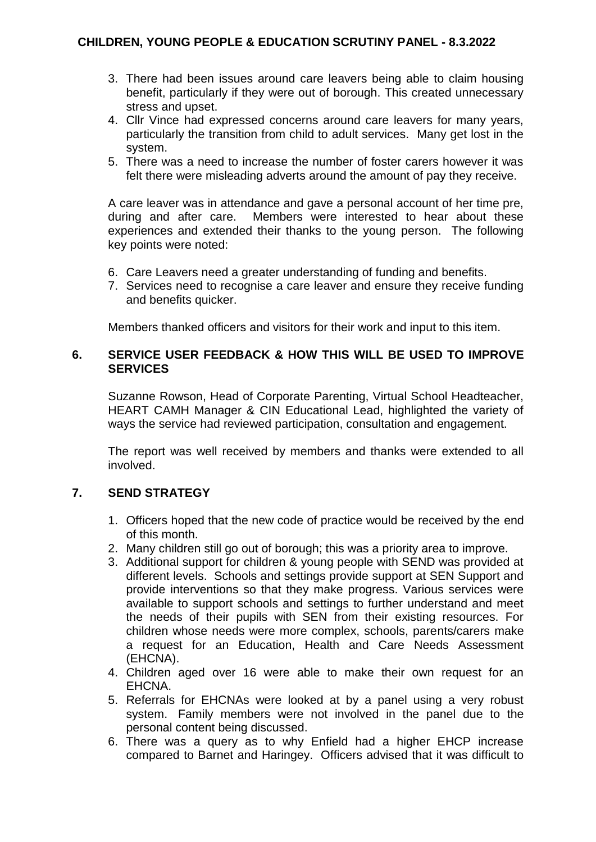- 3. There had been issues around care leavers being able to claim housing benefit, particularly if they were out of borough. This created unnecessary stress and upset.
- 4. Cllr Vince had expressed concerns around care leavers for many years, particularly the transition from child to adult services. Many get lost in the system.
- 5. There was a need to increase the number of foster carers however it was felt there were misleading adverts around the amount of pay they receive.

A care leaver was in attendance and gave a personal account of her time pre, during and after care. Members were interested to hear about these experiences and extended their thanks to the young person. The following key points were noted:

- 6. Care Leavers need a greater understanding of funding and benefits.
- 7. Services need to recognise a care leaver and ensure they receive funding and benefits quicker.

Members thanked officers and visitors for their work and input to this item.

## **6. SERVICE USER FEEDBACK & HOW THIS WILL BE USED TO IMPROVE SERVICES**

Suzanne Rowson, Head of Corporate Parenting, Virtual School Headteacher, HEART CAMH Manager & CIN Educational Lead, highlighted the variety of ways the service had reviewed participation, consultation and engagement.

The report was well received by members and thanks were extended to all involved.

# **7. SEND STRATEGY**

- 1. Officers hoped that the new code of practice would be received by the end of this month.
- 2. Many children still go out of borough; this was a priority area to improve.
- 3. Additional support for children & young people with SEND was provided at different levels. Schools and settings provide support at SEN Support and provide interventions so that they make progress. Various services were available to support schools and settings to further understand and meet the needs of their pupils with SEN from their existing resources. For children whose needs were more complex, schools, parents/carers make a request for an Education, Health and Care Needs Assessment (EHCNA).
- 4. Children aged over 16 were able to make their own request for an EHCNA.
- 5. Referrals for EHCNAs were looked at by a panel using a very robust system. Family members were not involved in the panel due to the personal content being discussed.
- 6. There was a query as to why Enfield had a higher EHCP increase compared to Barnet and Haringey. Officers advised that it was difficult to